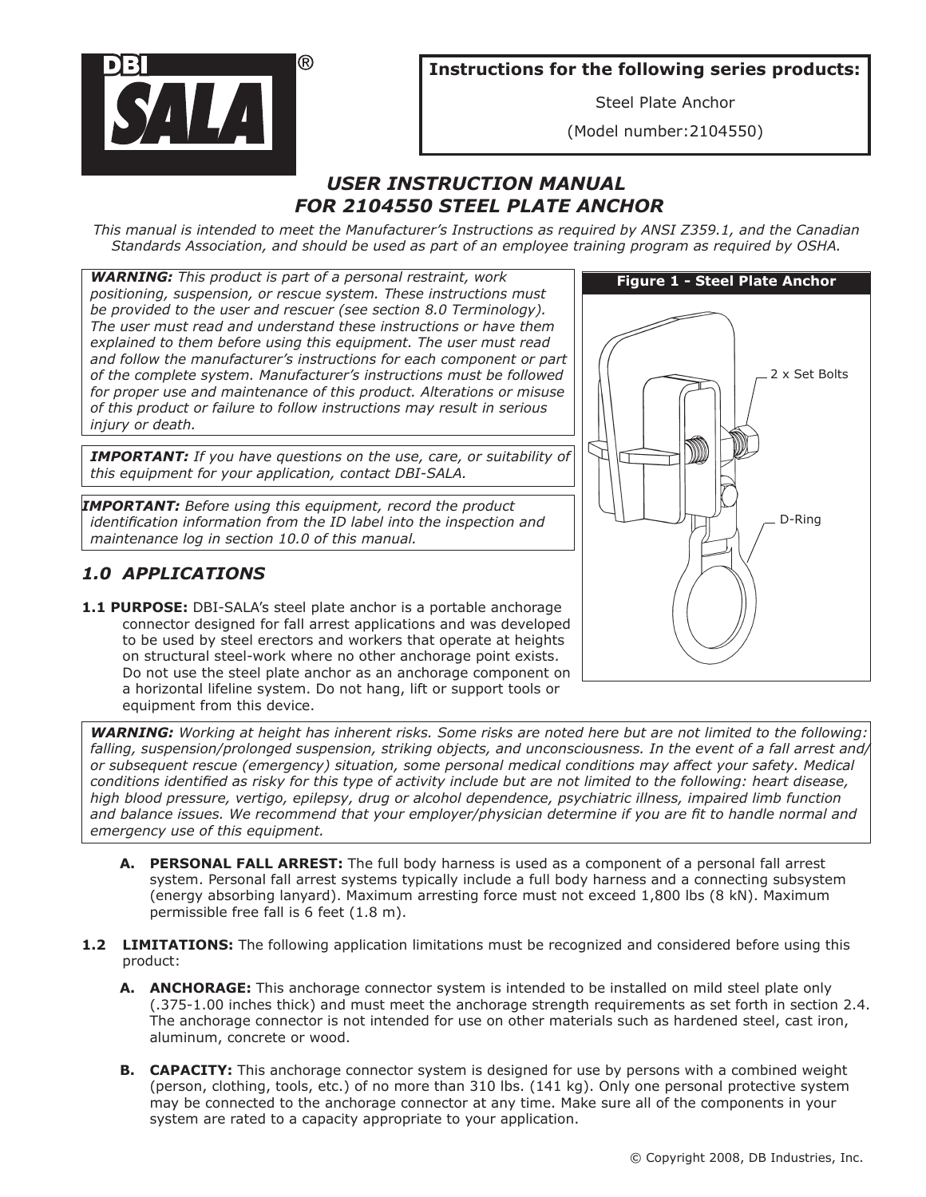

**Instructions for the following series products:**

Steel Plate Anchor

(Model number:2104550)

# *User Instruction Manual for 2104550 Steel Plate Anchor*

*This manual is intended to meet the Manufacturer's Instructions as required by ANSI Z359.1, and the Canadian Standards Association, and should be used as part of an employee training program as required by OSHA.*

*WARNING: This product is part of a personal restraint, work positioning, suspension, or rescue system. These instructions must be provided to the user and rescuer (see section 8.0 Terminology). The user must read and understand these instructions or have them explained to them before using this equipment. The user must read and follow the manufacturer's instructions for each component or part of the complete system. Manufacturer's instructions must be followed for proper use and maintenance of this product. Alterations or misuse of this product or failure to follow instructions may result in serious injury or death.*

*IMPORTANT: If you have questions on the use, care, or suitability of this equipment for your application, contact DBI‑SALA.*

*IMPORTANT: Before using this equipment, record the product identification information from the ID label into the inspection and maintenance log in section 10.0 of this manual.*

# *1.0 APPLICATIONS*

**1.1 PURPOSE:** DBI‑SALA's steel plate anchor is a portable anchorage connector designed for fall arrest applications and was developed to be used by steel erectors and workers that operate at heights on structural steel-work where no other anchorage point exists. Do not use the steel plate anchor as an anchorage component on a horizontal lifeline system. Do not hang, lift or support tools or equipment from this device.

**Figure 1 - Steel Plate Anchor** 2 x Set Bolts n D-Ring

*WARNING: Working at height has inherent risks. Some risks are noted here but are not limited to the following: falling, suspension/prolonged suspension, striking objects, and unconsciousness. In the event of a fall arrest and/ or subsequent rescue (emergency) situation, some personal medical conditions may affect your safety. Medical conditions identified as risky for this type of activity include but are not limited to the following: heart disease, high blood pressure, vertigo, epilepsy, drug or alcohol dependence, psychiatric illness, impaired limb function and balance issues. We recommend that your employer/physician determine if you are fit to handle normal and emergency use of this equipment.*

- **A. PERSONAL FALL ARREST:** The full body harness is used as a component of a personal fall arrest system. Personal fall arrest systems typically include a full body harness and a connecting subsystem (energy absorbing lanyard). Maximum arresting force must not exceed 1,800 lbs (8 kN). Maximum permissible free fall is 6 feet (1.8 m).
- **1.2 <b>LIMITATIONS:** The following application limitations must be recognized and considered before using this product:
	- **A. ANCHORAGE:** This anchorage connector system is intended to be installed on mild steel plate only (.375-1.00 inches thick) and must meet the anchorage strength requirements as set forth in section 2.4. The anchorage connector is not intended for use on other materials such as hardened steel, cast iron, aluminum, concrete or wood.
	- **B. CAPACITY:** This anchorage connector system is designed for use by persons with a combined weight (person, clothing, tools, etc.) of no more than 310 lbs. (141 kg). Only one personal protective system may be connected to the anchorage connector at any time. Make sure all of the components in your system are rated to a capacity appropriate to your application.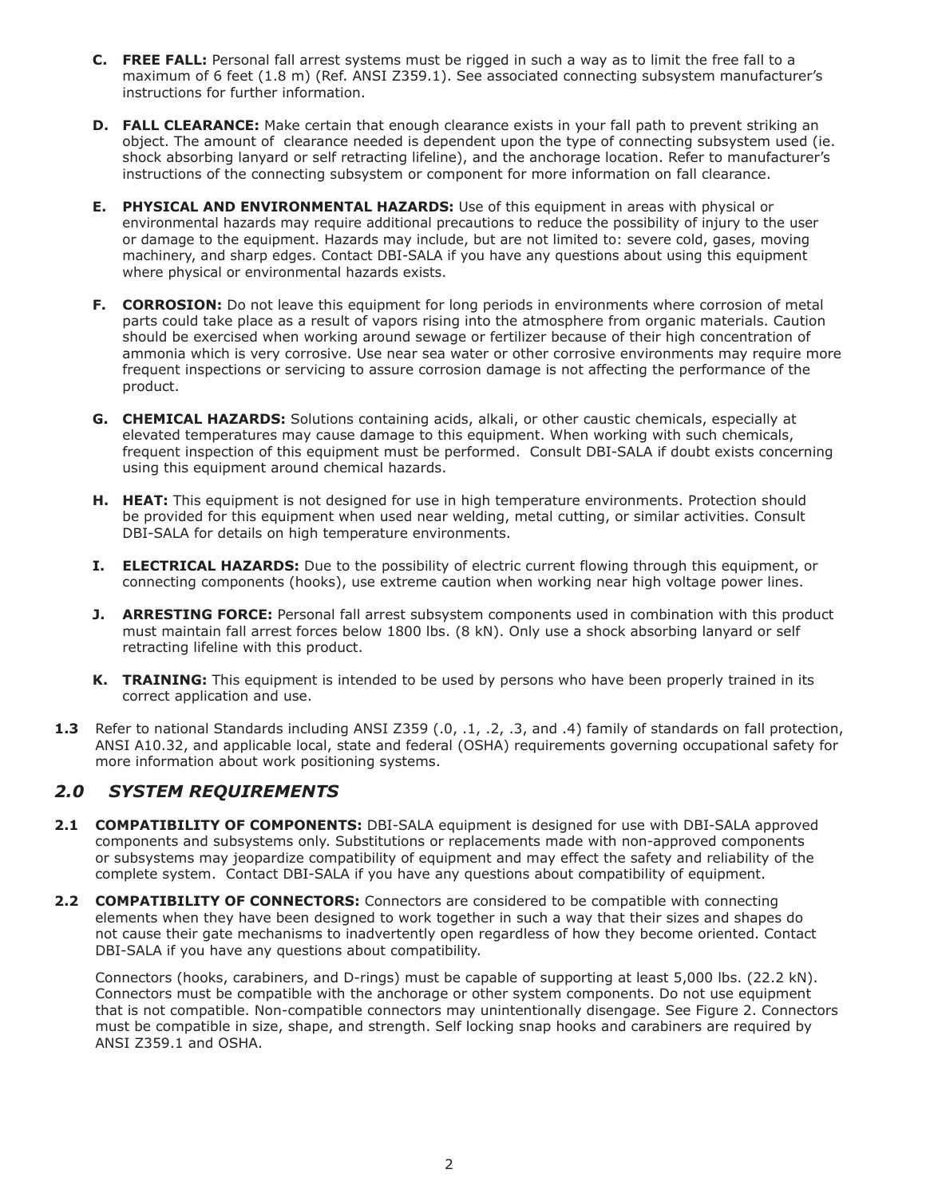- **C. FREE FALL:** Personal fall arrest systems must be rigged in such a way as to limit the free fall to a maximum of 6 feet (1.8 m) (Ref. ANSI Z359.1). See associated connecting subsystem manufacturer's instructions for further information.
- **D.** FALL CLEARANCE: Make certain that enough clearance exists in your fall path to prevent striking an object. The amount of clearance needed is dependent upon the type of connecting subsystem used (ie. shock absorbing lanyard or self retracting lifeline), and the anchorage location. Refer to manufacturer's instructions of the connecting subsystem or component for more information on fall clearance.
- **E. PHYSICAL AND ENVIRONMENTAL HAZARDS:** Use of this equipment in areas with physical or environmental hazards may require additional precautions to reduce the possibility of injury to the user or damage to the equipment. Hazards may include, but are not limited to: severe cold, gases, moving machinery, and sharp edges. Contact DBI‑SALA if you have any questions about using this equipment where physical or environmental hazards exists.
- **F. CORROSION:** Do not leave this equipment for long periods in environments where corrosion of metal parts could take place as a result of vapors rising into the atmosphere from organic materials. Caution should be exercised when working around sewage or fertilizer because of their high concentration of ammonia which is very corrosive. Use near sea water or other corrosive environments may require more frequent inspections or servicing to assure corrosion damage is not affecting the performance of the product.
- **G. CHEMICAL HAZARDS:** Solutions containing acids, alkali, or other caustic chemicals, especially at elevated temperatures may cause damage to this equipment. When working with such chemicals, frequent inspection of this equipment must be performed. Consult DBI‑SALA if doubt exists concerning using this equipment around chemical hazards.
- **H. HEAT:** This equipment is not designed for use in high temperature environments. Protection should be provided for this equipment when used near welding, metal cutting, or similar activities. Consult DBI-SALA for details on high temperature environments.
- **I. ELECTRICAL HAZARDS:** Due to the possibility of electric current flowing through this equipment, or connecting components (hooks), use extreme caution when working near high voltage power lines.
- **J. ARRESTING FORCE:** Personal fall arrest subsystem components used in combination with this product must maintain fall arrest forces below 1800 lbs. (8 kN). Only use a shock absorbing lanyard or self retracting lifeline with this product.
- **K. TRAINING:** This equipment is intended to be used by persons who have been properly trained in its correct application and use.
- **1.3** Refer to national Standards including ANSI Z359 (.0, .1, .2, .3, and .4) family of standards on fall protection, ANSI A10.32, and applicable local, state and federal (OSHA) requirements governing occupational safety for more information about work positioning systems.

## *2.0 SYSTEM REQUIREMENTS*

- 2.1 **COMPATIBILITY OF COMPONENTS:** DBI-SALA equipment is designed for use with DBI-SALA approved components and subsystems only. Substitutions or replacements made with non-approved components or subsystems may jeopardize compatibility of equipment and may effect the safety and reliability of the complete system. Contact DBI‑SALA if you have any questions about compatibility of equipment.
- **2.2 COMPATIBILITY OF CONNECTORS:** Connectors are considered to be compatible with connecting elements when they have been designed to work together in such a way that their sizes and shapes do not cause their gate mechanisms to inadvertently open regardless of how they become oriented. Contact DBI‑SALA if you have any questions about compatibility.

Connectors (hooks, carabiners, and D-rings) must be capable of supporting at least 5,000 lbs. (22.2 kN). Connectors must be compatible with the anchorage or other system components. Do not use equipment that is not compatible. Non-compatible connectors may unintentionally disengage. See Figure 2. Connectors must be compatible in size, shape, and strength. Self locking snap hooks and carabiners are required by ANSI Z359.1 and OSHA.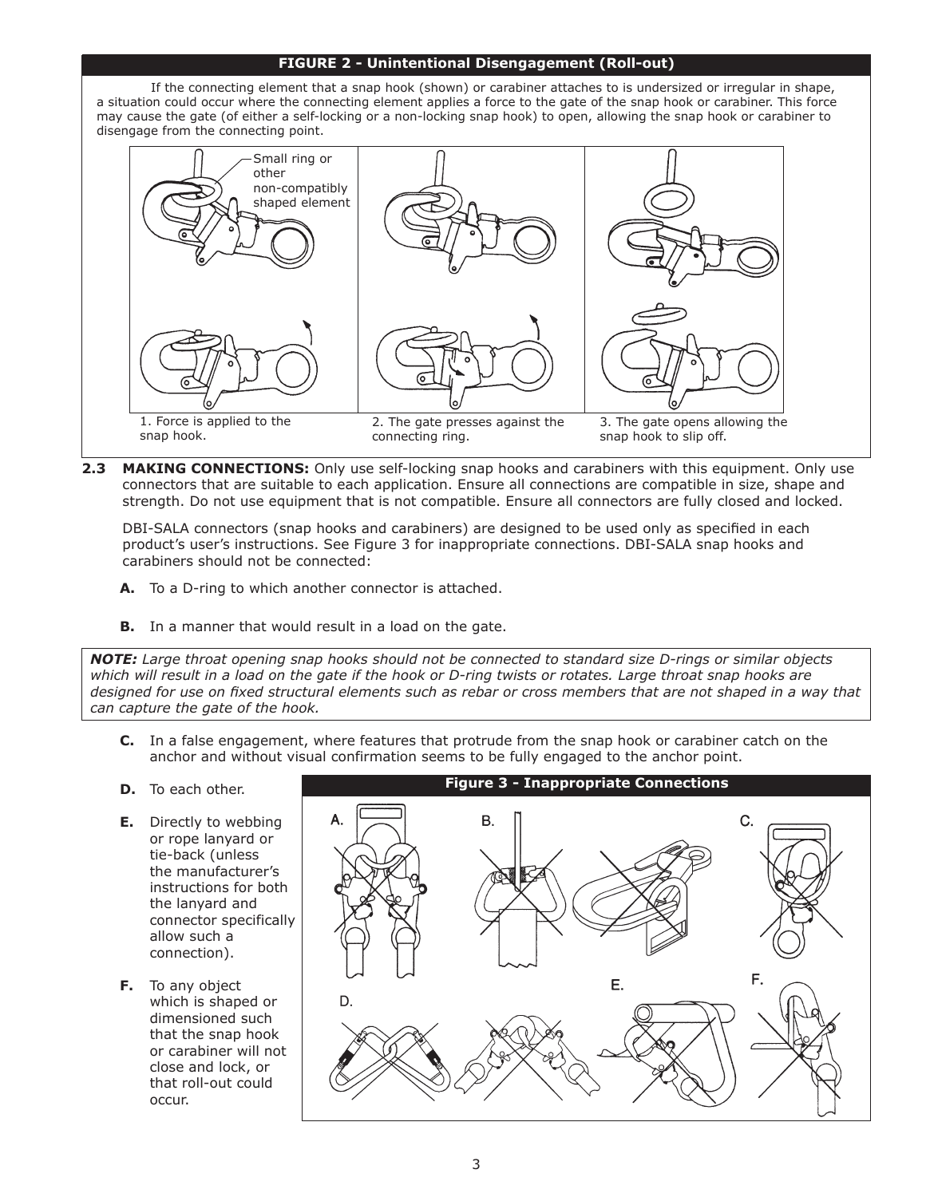#### **Figure 2 - Unintentional Disengagement (Roll-out)**

If the connecting element that a snap hook (shown) or carabiner attaches to is undersized or irregular in shape, a situation could occur where the connecting element applies a force to the gate of the snap hook or carabiner. This force may cause the gate (of either a self-locking or a non-locking snap hook) to open, allowing the snap hook or carabiner to disengage from the connecting point.



**2.3 MAKING CONNECTIONS:** Only use self-locking snap hooks and carabiners with this equipment. Only use connectors that are suitable to each application. Ensure all connections are compatible in size, shape and strength. Do not use equipment that is not compatible. Ensure all connectors are fully closed and locked.

DBI‑SALA connectors (snap hooks and carabiners) are designed to be used only as specified in each product's user's instructions. See Figure 3 for inappropriate connections. DBI‑SALA snap hooks and carabiners should not be connected:

- **A.** To a D-ring to which another connector is attached.
- **B.** In a manner that would result in a load on the gate.

*NOTE: Large throat opening snap hooks should not be connected to standard size D-rings or similar objects which will result in a load on the gate if the hook or D-ring twists or rotates. Large throat snap hooks are designed for use on fixed structural elements such as rebar or cross members that are not shaped in a way that can capture the gate of the hook.*

- **C.** In a false engagement, where features that protrude from the snap hook or carabiner catch on the anchor and without visual confirmation seems to be fully engaged to the anchor point.
- **D.** To each other.
- **E.** Directly to webbing or rope lanyard or tie-back (unless the manufacturer's instructions for both the lanyard and connector specifically allow such a connection).
- **F.** To any object which is shaped or dimensioned such that the snap hook or carabiner will not close and lock, or that roll-out could occur.

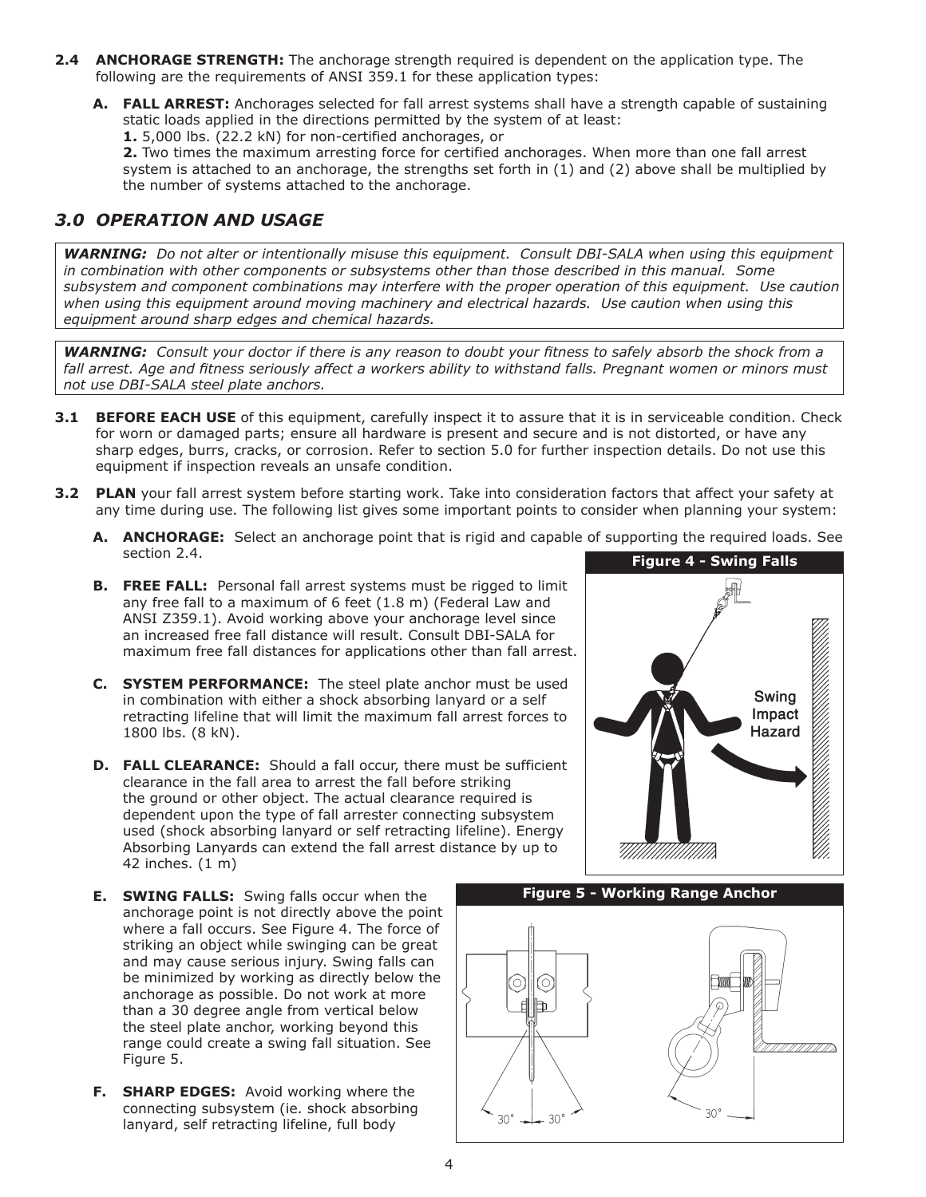- **2.4 ANCHORAGE STRENGTH:** The anchorage strength required is dependent on the application type. The following are the requirements of ANSI 359.1 for these application types:
	- **A. Fall Arrest:** Anchorages selected for fall arrest systems shall have a strength capable of sustaining static loads applied in the directions permitted by the system of at least:
		- **1.** 5,000 lbs. (22.2 kN) for non-certified anchorages, or

**2.** Two times the maximum arresting force for certified anchorages. When more than one fall arrest system is attached to an anchorage, the strengths set forth in (1) and (2) above shall be multiplied by the number of systems attached to the anchorage.

# *3.0 OPERATION AND USAGE*

*WARNING: Do not alter or intentionally misuse this equipment. Consult DBI‑SALA when using this equipment in combination with other components or subsystems other than those described in this manual. Some subsystem and component combinations may interfere with the proper operation of this equipment. Use caution when using this equipment around moving machinery and electrical hazards. Use caution when using this equipment around sharp edges and chemical hazards.*

*WARNING: Consult your doctor if there is any reason to doubt your fitness to safely absorb the shock from a fall arrest. Age and fitness seriously affect a workers ability to withstand falls. Pregnant women or minors must not use DBI‑SALA steel plate anchors.*

- **3.1 BEFORE EACH USE** of this equipment, carefully inspect it to assure that it is in serviceable condition. Check for worn or damaged parts; ensure all hardware is present and secure and is not distorted, or have any sharp edges, burrs, cracks, or corrosion. Refer to section 5.0 for further inspection details. Do not use this equipment if inspection reveals an unsafe condition.
- **3.2 PLAN** your fall arrest system before starting work. Take into consideration factors that affect your safety at any time during use. The following list gives some important points to consider when planning your system:
	- **A. ANCHORAGE:** Select an anchorage point that is rigid and capable of supporting the required loads. See section 2.4.
	- **B. FREE FALL:** Personal fall arrest systems must be rigged to limit any free fall to a maximum of 6 feet (1.8 m) (Federal Law and ANSI Z359.1). Avoid working above your anchorage level since an increased free fall distance will result. Consult DBI‑SALA for maximum free fall distances for applications other than fall arrest.
	- **C. SYSTEM PERFORMANCE:** The steel plate anchor must be used in combination with either a shock absorbing lanyard or a self retracting lifeline that will limit the maximum fall arrest forces to 1800 lbs. (8 kN).
	- **D. FALL CLEARANCE:** Should a fall occur, there must be sufficient clearance in the fall area to arrest the fall before striking the ground or other object. The actual clearance required is dependent upon the type of fall arrester connecting subsystem used (shock absorbing lanyard or self retracting lifeline). Energy Absorbing Lanyards can extend the fall arrest distance by up to 42 inches. (1 m)
	- **E. SWING FALLS:** Swing falls occur when the anchorage point is not directly above the point where a fall occurs. See Figure 4. The force of striking an object while swinging can be great and may cause serious injury. Swing falls can be minimized by working as directly below the anchorage as possible. Do not work at more than a 30 degree angle from vertical below the steel plate anchor, working beyond this range could create a swing fall situation. See Figure 5.
	- **F. SHARP EDGES:** Avoid working where the connecting subsystem (ie. shock absorbing lanyard, self retracting lifeline, full body



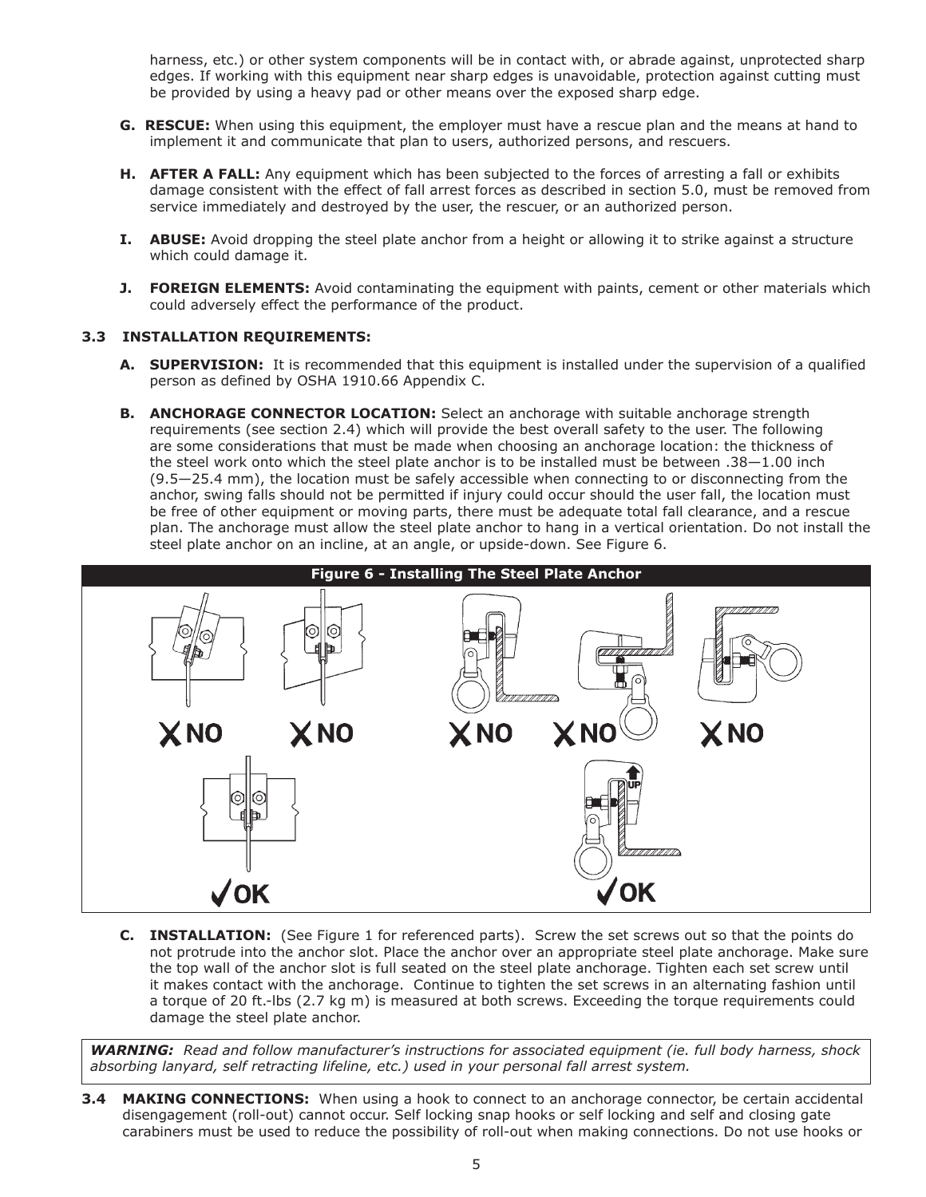harness, etc.) or other system components will be in contact with, or abrade against, unprotected sharp edges. If working with this equipment near sharp edges is unavoidable, protection against cutting must be provided by using a heavy pad or other means over the exposed sharp edge.

- **G. RESCUE:** When using this equipment, the employer must have a rescue plan and the means at hand to implement it and communicate that plan to users, authorized persons, and rescuers.
- **H. AFTER A FALL:** Any equipment which has been subjected to the forces of arresting a fall or exhibits damage consistent with the effect of fall arrest forces as described in section 5.0, must be removed from service immediately and destroyed by the user, the rescuer, or an authorized person.
- **I. ABUSE:** Avoid dropping the steel plate anchor from a height or allowing it to strike against a structure which could damage it.
- **J. FOREIGN ELEMENTS:** Avoid contaminating the equipment with paints, cement or other materials which could adversely effect the performance of the product.

#### **3.3 INSTALLATION REQUIREMENTS:**

- **A. SUPERVISION:** It is recommended that this equipment is installed under the supervision of a qualified person as defined by OSHA 1910.66 Appendix C.
- **B.** ANCHORAGE CONNECTOR LOCATION: Select an anchorage with suitable anchorage strength requirements (see section 2.4) which will provide the best overall safety to the user. The following are some considerations that must be made when choosing an anchorage location: the thickness of the steel work onto which the steel plate anchor is to be installed must be between .38—1.00 inch (9.5—25.4 mm), the location must be safely accessible when connecting to or disconnecting from the anchor, swing falls should not be permitted if injury could occur should the user fall, the location must be free of other equipment or moving parts, there must be adequate total fall clearance, and a rescue plan. The anchorage must allow the steel plate anchor to hang in a vertical orientation. Do not install the steel plate anchor on an incline, at an angle, or upside-down. See Figure 6.



**C. INSTALLATION:** (See Figure 1 for referenced parts). Screw the set screws out so that the points do not protrude into the anchor slot. Place the anchor over an appropriate steel plate anchorage. Make sure the top wall of the anchor slot is full seated on the steel plate anchorage. Tighten each set screw until it makes contact with the anchorage. Continue to tighten the set screws in an alternating fashion until a torque of 20 ft.-lbs (2.7 kg m) is measured at both screws. Exceeding the torque requirements could damage the steel plate anchor.

*WARNING: Read and follow manufacturer's instructions for associated equipment (ie. full body harness, shock absorbing lanyard, self retracting lifeline, etc.) used in your personal fall arrest system.*

**3.4 MAKING CONNECTIONS:** When using a hook to connect to an anchorage connector, be certain accidental disengagement (roll-out) cannot occur. Self locking snap hooks or self locking and self and closing gate carabiners must be used to reduce the possibility of roll-out when making connections. Do not use hooks or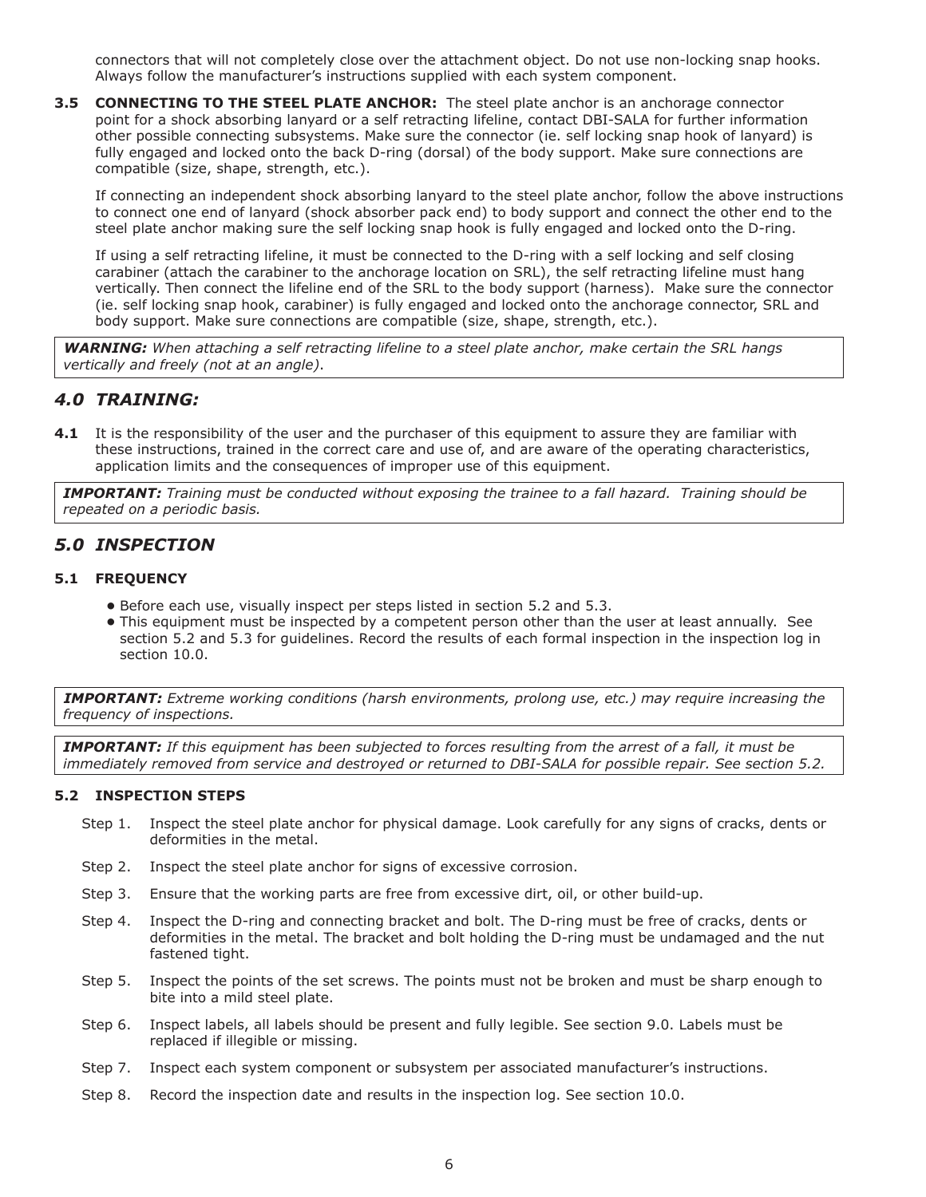connectors that will not completely close over the attachment object. Do not use non-locking snap hooks. Always follow the manufacturer's instructions supplied with each system component.

**3.5 CONNECTING TO THE STEEL PLATE ANCHOR:** The steel plate anchor is an anchorage connector point for a shock absorbing lanyard or a self retracting lifeline, contact DBI‑SALA for further information other possible connecting subsystems. Make sure the connector (ie. self locking snap hook of lanyard) is fully engaged and locked onto the back D-ring (dorsal) of the body support. Make sure connections are compatible (size, shape, strength, etc.).

If connecting an independent shock absorbing lanyard to the steel plate anchor, follow the above instructions to connect one end of lanyard (shock absorber pack end) to body support and connect the other end to the steel plate anchor making sure the self locking snap hook is fully engaged and locked onto the D-ring.

If using a self retracting lifeline, it must be connected to the D-ring with a self locking and self closing carabiner (attach the carabiner to the anchorage location on SRL), the self retracting lifeline must hang vertically. Then connect the lifeline end of the SRL to the body support (harness). Make sure the connector (ie. self locking snap hook, carabiner) is fully engaged and locked onto the anchorage connector, SRL and body support. Make sure connections are compatible (size, shape, strength, etc.).

 *WARNING: When attaching a self retracting lifeline to a steel plate anchor, make certain the SRL hangs vertically and freely (not at an angle)*.

## *4.0 TRAINING:*

**4.1** It is the responsibility of the user and the purchaser of this equipment to assure they are familiar with these instructions, trained in the correct care and use of, and are aware of the operating characteristics, application limits and the consequences of improper use of this equipment.

*IMPORTANT: Training must be conducted without exposing the trainee to a fall hazard. Training should be repeated on a periodic basis.*

#### *5.0 INSPECTION*

#### **5.1 FREQUENCY**

- **•** Before each use, visually inspect per steps listed in section 5.2 and 5.3.
- **•** This equipment must be inspected by a competent person other than the user at least annually. See section 5.2 and 5.3 for guidelines. Record the results of each formal inspection in the inspection log in section 10.0.

 *IMPORTANT: Extreme working conditions (harsh environments, prolong use, etc.) may require increasing the frequency of inspections.*

*IMPORTANT: If this equipment has been subjected to forces resulting from the arrest of a fall, it must be immediately removed from service and destroyed or returned to DBI‑SALA for possible repair. See section 5.2.*

#### **5.2 INSPECTION STEPS**

- Step 1. Inspect the steel plate anchor for physical damage. Look carefully for any signs of cracks, dents or deformities in the metal.
- Step 2. Inspect the steel plate anchor for signs of excessive corrosion.
- Step 3. Ensure that the working parts are free from excessive dirt, oil, or other build-up.
- Step 4. Inspect the D-ring and connecting bracket and bolt. The D-ring must be free of cracks, dents or deformities in the metal. The bracket and bolt holding the D-ring must be undamaged and the nut fastened tight.
- Step 5. Inspect the points of the set screws. The points must not be broken and must be sharp enough to bite into a mild steel plate.
- Step 6. Inspect labels, all labels should be present and fully legible. See section 9.0. Labels must be replaced if illegible or missing.
- Step 7. Inspect each system component or subsystem per associated manufacturer's instructions.
- Step 8. Record the inspection date and results in the inspection log. See section 10.0.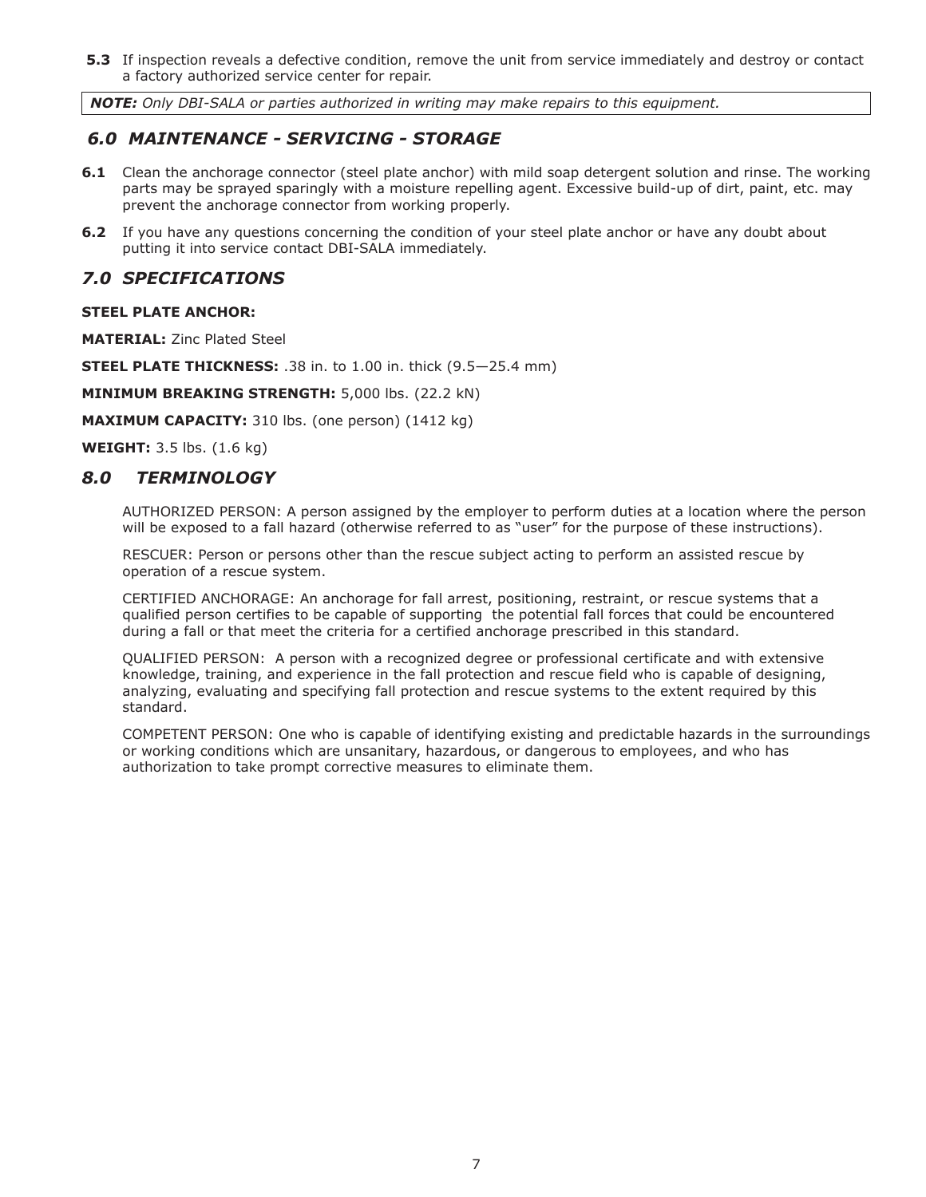**5.3** If inspection reveals a defective condition, remove the unit from service immediately and destroy or contact a factory authorized service center for repair.

*NOTE: Only DBI‑SALA or parties authorized in writing may make repairs to this equipment.*

## *6.0 MAINTENANCE - SERVICING - STORAGE*

- **6.1** Clean the anchorage connector (steel plate anchor) with mild soap detergent solution and rinse. The working parts may be sprayed sparingly with a moisture repelling agent. Excessive build-up of dirt, paint, etc. may prevent the anchorage connector from working properly.
- **6.2** If you have any questions concerning the condition of your steel plate anchor or have any doubt about putting it into service contact DBI‑SALA immediately.

## *7.0 SPECIFICATIONS*

#### **STEEL PLATE ANCHOR:**

**Material:** Zinc Plated Steel

**STEEL PLATE THICKNESS:** .38 in. to 1.00 in. thick (9.5–25.4 mm)

**Minimum Breaking Strength:** 5,000 lbs. (22.2 kN)

**Maximum Capacity:** 310 lbs. (one person) (1412 kg)

**Weight:** 3.5 lbs. (1.6 kg)

## *8.0 Terminology*

Authorized Person: A person assigned by the employer to perform duties at a location where the person will be exposed to a fall hazard (otherwise referred to as "user" for the purpose of these instructions).

RESCUER: Person or persons other than the rescue subject acting to perform an assisted rescue by operation of a rescue system.

Certified Anchorage: An anchorage for fall arrest, positioning, restraint, or rescue systems that a qualified person certifies to be capable of supporting the potential fall forces that could be encountered during a fall or that meet the criteria for a certified anchorage prescribed in this standard.

Qualified Person: A person with a recognized degree or professional certificate and with extensive knowledge, training, and experience in the fall protection and rescue field who is capable of designing, analyzing, evaluating and specifying fall protection and rescue systems to the extent required by this standard.

Competent Person: One who is capable of identifying existing and predictable hazards in the surroundings or working conditions which are unsanitary, hazardous, or dangerous to employees, and who has authorization to take prompt corrective measures to eliminate them.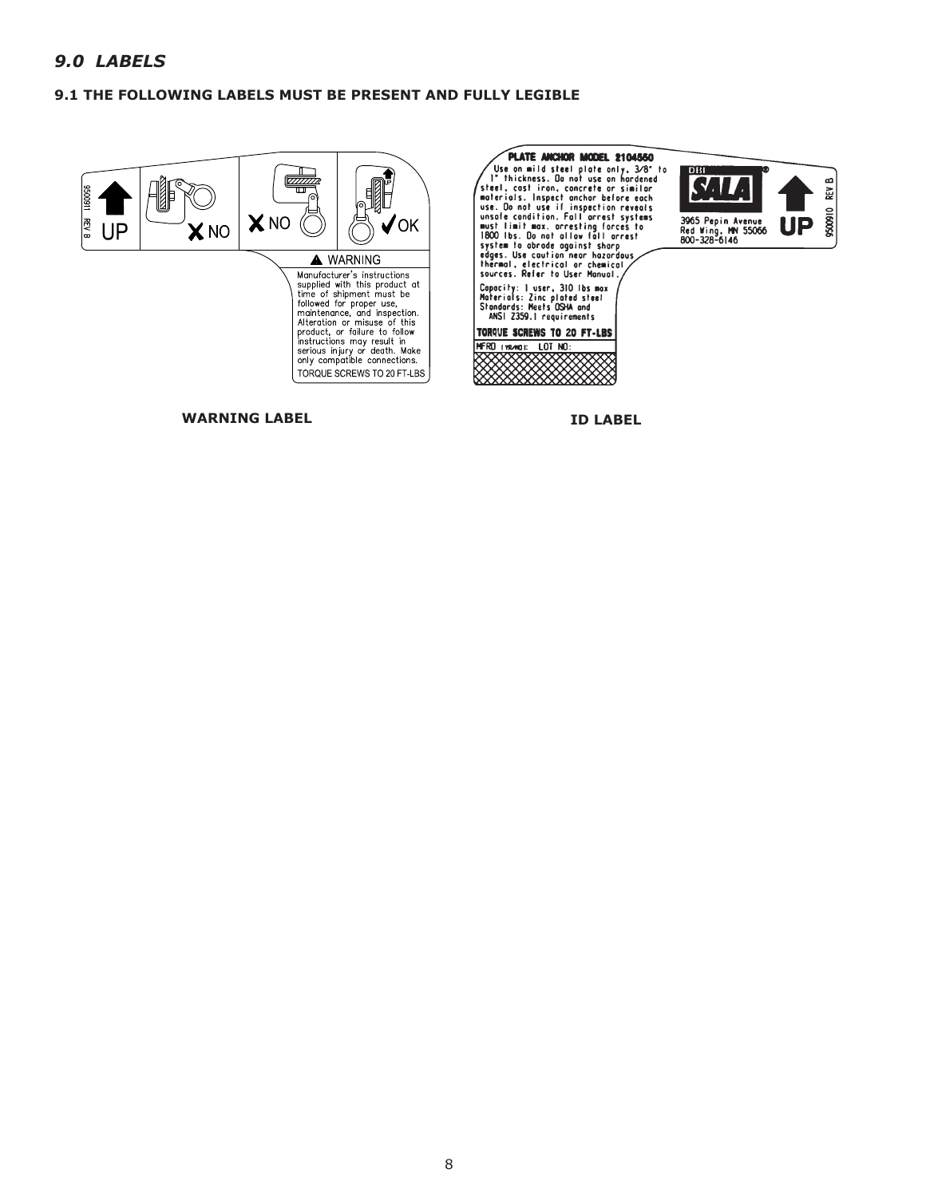## *9.0 LABELS*

#### **9.1 The following labels must be present and fully legible**



**WARNING LABEL ID LABEL**



REV B

9500910

**UP**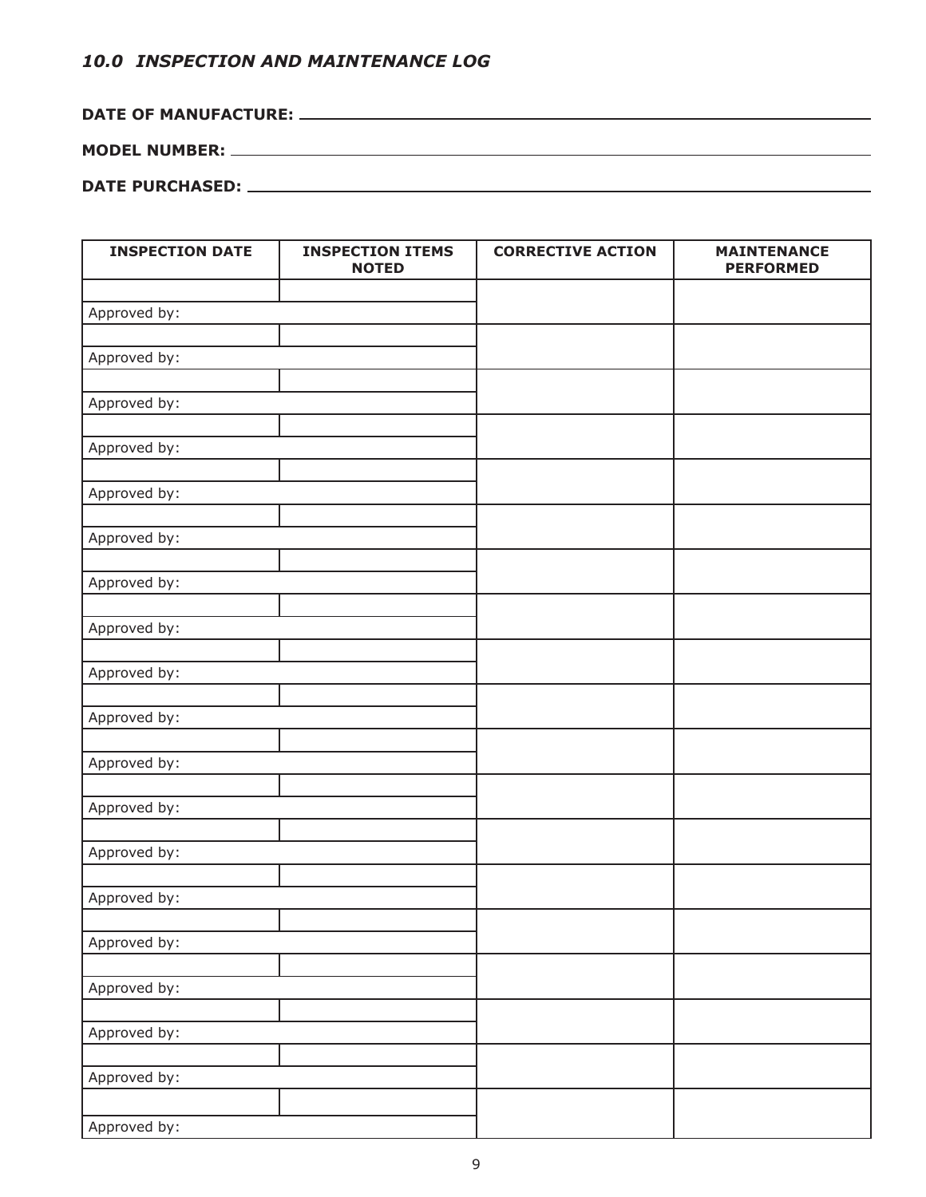# *10.0 INSPECTION AND MAINTENANCE LOG*

**DATE OF MANUFACTURE:** 

## **MODEL NUMBER:**

**DATE PURCHASED:** 

| <b>INSPECTION DATE</b> | <b>INSPECTION ITEMS</b><br><b>NOTED</b> | <b>CORRECTIVE ACTION</b> | <b>MAINTENANCE</b><br><b>PERFORMED</b> |
|------------------------|-----------------------------------------|--------------------------|----------------------------------------|
|                        |                                         |                          |                                        |
| Approved by:           |                                         |                          |                                        |
| Approved by:           |                                         |                          |                                        |
| Approved by:           |                                         |                          |                                        |
| Approved by:           |                                         |                          |                                        |
| Approved by:           |                                         |                          |                                        |
| Approved by:           |                                         |                          |                                        |
| Approved by:           |                                         |                          |                                        |
| Approved by:           |                                         |                          |                                        |
|                        |                                         |                          |                                        |
| Approved by:           |                                         |                          |                                        |
| Approved by:           |                                         |                          |                                        |
| Approved by:           |                                         |                          |                                        |
|                        |                                         |                          |                                        |
| Approved by:           |                                         |                          |                                        |
| Approved by:           |                                         |                          |                                        |
| Approved by:           |                                         |                          |                                        |
|                        |                                         |                          |                                        |
| Approved by:           |                                         |                          |                                        |
| Approved by:           |                                         |                          |                                        |
| Approved by:           |                                         |                          |                                        |
| Approved by:           |                                         |                          |                                        |
|                        |                                         |                          |                                        |
| Approved by:           |                                         |                          |                                        |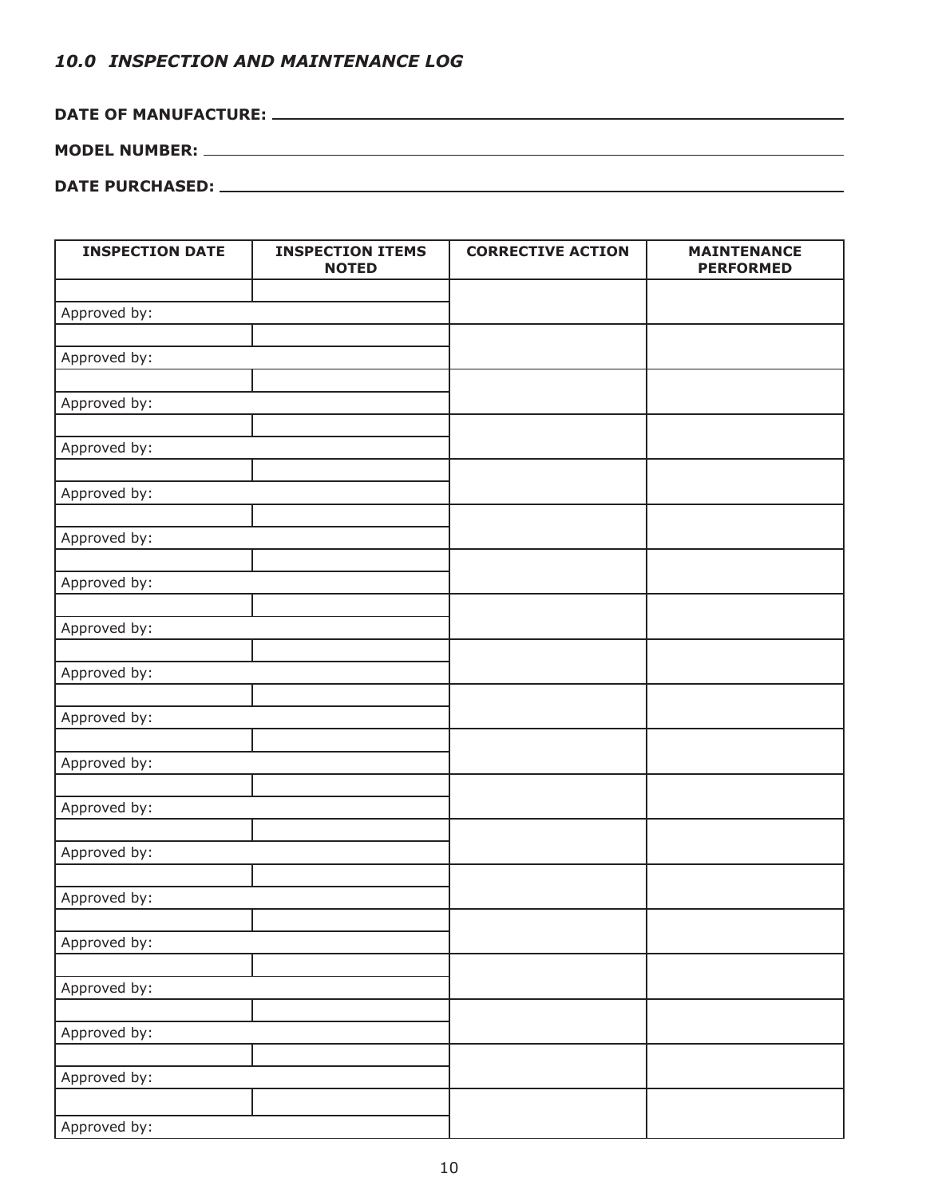# *10.0 INSPECTION AND MAINTENANCE LOG*

**DATE OF MANUFACTURE:** 

## **MODEL NUMBER:**

**DATE PURCHASED:** 

| <b>INSPECTION DATE</b> | <b>INSPECTION ITEMS</b><br><b>NOTED</b> | <b>CORRECTIVE ACTION</b> | <b>MAINTENANCE</b><br><b>PERFORMED</b> |
|------------------------|-----------------------------------------|--------------------------|----------------------------------------|
| Approved by:           |                                         |                          |                                        |
|                        |                                         |                          |                                        |
| Approved by:           |                                         |                          |                                        |
| Approved by:           |                                         |                          |                                        |
|                        |                                         |                          |                                        |
| Approved by:           |                                         |                          |                                        |
| Approved by:           |                                         |                          |                                        |
| Approved by:           |                                         |                          |                                        |
|                        |                                         |                          |                                        |
| Approved by:           |                                         |                          |                                        |
| Approved by:           |                                         |                          |                                        |
| Approved by:           |                                         |                          |                                        |
|                        |                                         |                          |                                        |
| Approved by:           |                                         |                          |                                        |
| Approved by:           |                                         |                          |                                        |
| Approved by:           |                                         |                          |                                        |
|                        |                                         |                          |                                        |
| Approved by:           |                                         |                          |                                        |
| Approved by:           |                                         |                          |                                        |
| Approved by:           |                                         |                          |                                        |
|                        |                                         |                          |                                        |
| Approved by:           |                                         |                          |                                        |
| Approved by:           |                                         |                          |                                        |
|                        |                                         |                          |                                        |
| Approved by:           |                                         |                          |                                        |
| Approved by:           |                                         |                          |                                        |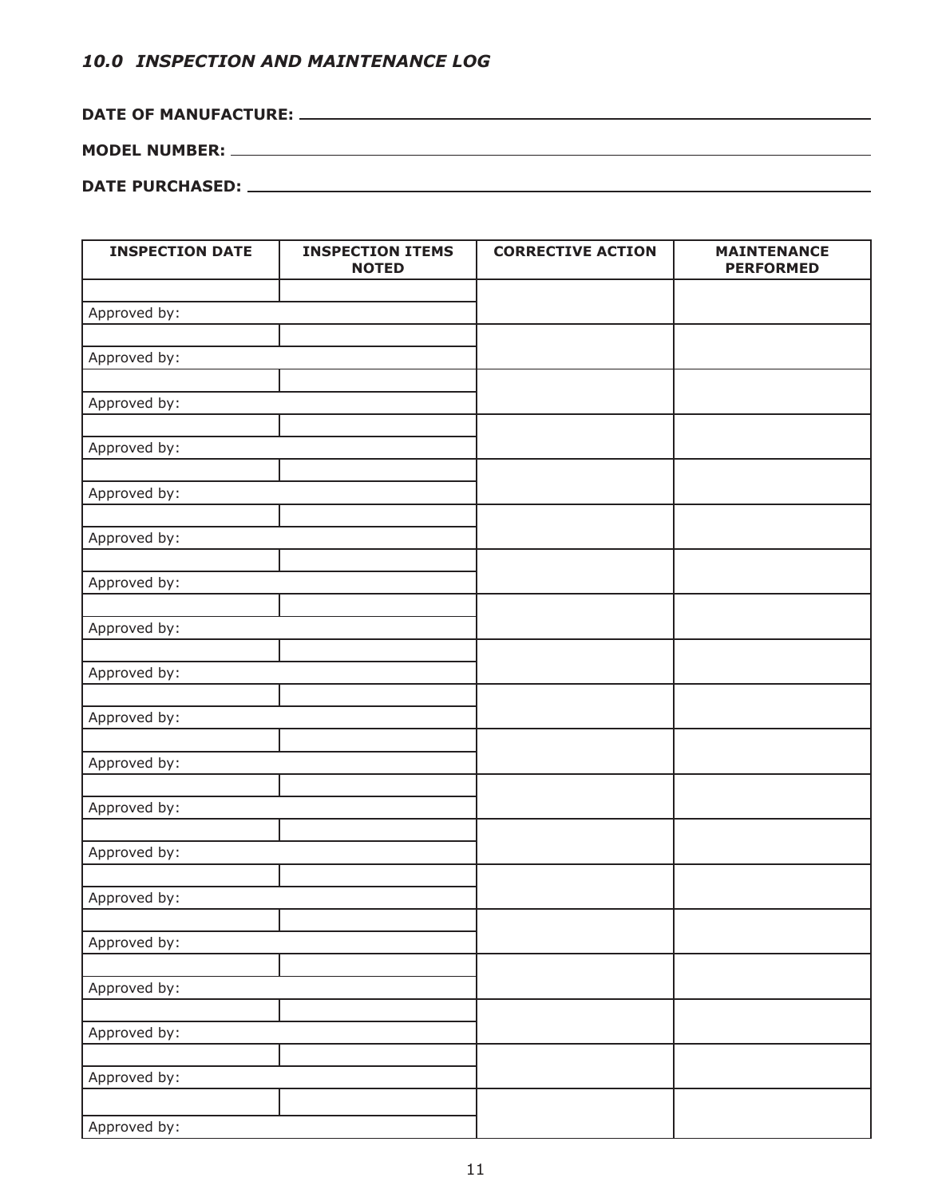# *10.0 INSPECTION AND MAINTENANCE LOG*

**DATE OF MANUFACTURE:** 

## **MODEL NUMBER:**

**DATE PURCHASED:** 

| <b>INSPECTION DATE</b> | <b>INSPECTION ITEMS</b><br><b>NOTED</b> | <b>CORRECTIVE ACTION</b> | <b>MAINTENANCE</b><br><b>PERFORMED</b> |
|------------------------|-----------------------------------------|--------------------------|----------------------------------------|
|                        |                                         |                          |                                        |
| Approved by:           |                                         |                          |                                        |
| Approved by:           |                                         |                          |                                        |
| Approved by:           |                                         |                          |                                        |
| Approved by:           |                                         |                          |                                        |
| Approved by:           |                                         |                          |                                        |
| Approved by:           |                                         |                          |                                        |
| Approved by:           |                                         |                          |                                        |
| Approved by:           |                                         |                          |                                        |
| Approved by:           |                                         |                          |                                        |
| Approved by:           |                                         |                          |                                        |
| Approved by:           |                                         |                          |                                        |
| Approved by:           |                                         |                          |                                        |
| Approved by:           |                                         |                          |                                        |
| Approved by:           |                                         |                          |                                        |
| Approved by:           |                                         |                          |                                        |
| Approved by:           |                                         |                          |                                        |
| Approved by:           |                                         |                          |                                        |
| Approved by:           |                                         |                          |                                        |
| Approved by:           |                                         |                          |                                        |